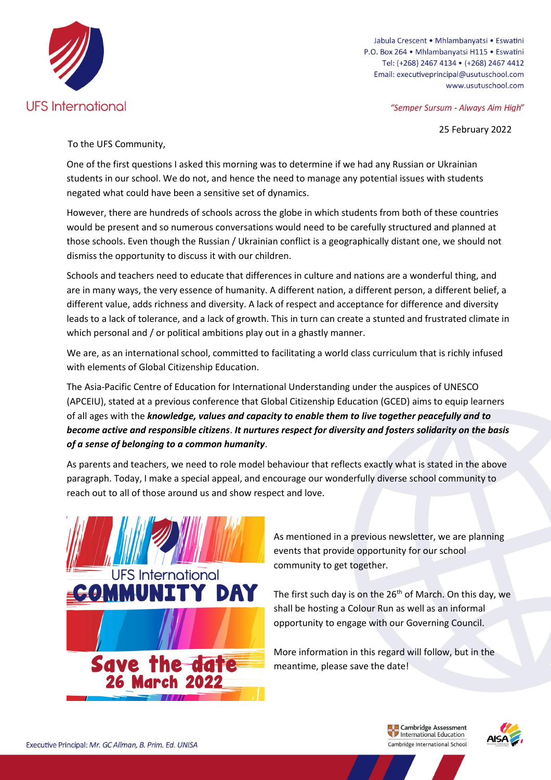

Jabula Crescent • Mhlambanyatsi • Eswatini P.O. Box 264 · Mhlambanyatsi H115 · Eswatini Tel: (+268) 2467 4134 · (+268) 2467 4412 Email: executiveprincipal@usutuschool.com www.usutuschool.com

"Semper Sursum - Always Aim High"

25 February 2022

To the UFS Community,

One of the first questions I asked this morning was to determine if we had any Russian or Ukrainian students in our school. We do not, and hence the need to manage any potential issues with students negated what could have been a sensitive set of dynamics.

However, there are hundreds of schools across the globe in which students from both of these countries would be present and so numerous conversations would need to be carefully structured and planned at those schools. Even though the Russian / Ukrainian conflict is a geographically distant one, we should not dismiss the opportunity to discuss it with our children.

Schools and teachers need to educate that differences in culture and nations are a wonderful thing, and are in many ways, the very essence of humanity. A different nation, a different person, a different belief, a different value, adds richness and diversity. A lack of respect and acceptance for difference and diversity leads to a lack of tolerance, and a lack of growth. This in turn can create a stunted and frustrated climate in which personal and / or political ambitions play out in a ghastly manner.

We are, as an international school, committed to facilitating a world class curriculum that is richly infused with elements of Global Citizenship Education.

The Asia-Pacific Centre of Education for International Understanding under the auspices of UNESCO (APCEIU), stated at a previous conference that Global Citizenship Education (GCED) aims to equip learners of all ages with the *knowledge, values and capacity to enable them to live together peacefully and to become active and responsible citizens*. *It nurtures respect for diversity and fosters solidarity on the basis of a sense of belonging to a common humanity*.

As parents and teachers, we need to role model behaviour that reflects exactly what is stated in the above paragraph. Today, I make a special appeal, and encourage our wonderfully diverse school community to reach out to all of those around us and show respect and love.



As mentioned in a previous newsletter, we are planning events that provide opportunity for our school community to get together.

The first such day is on the  $26<sup>th</sup>$  of March. On this day, we shall be hosting a Colour Run as well as an informal opportunity to engage with our Governing Council.

More information in this regard will follow, but in the meantime, please save the date!